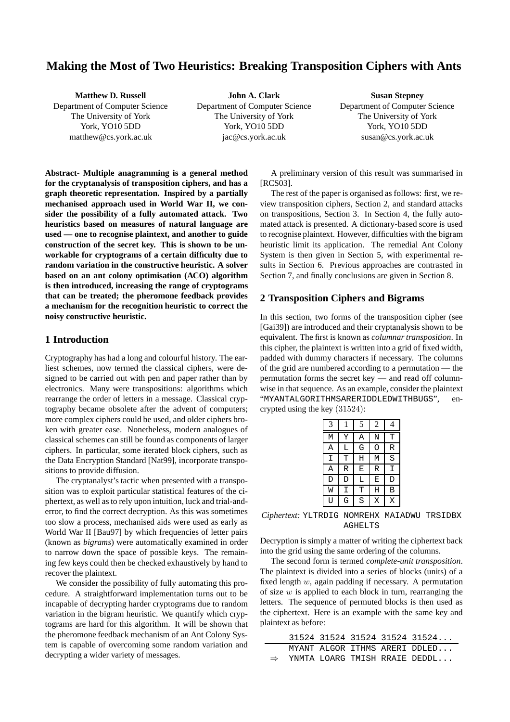# **Making the Most of Two Heuristics: Breaking Transposition Ciphers with Ants**

| <b>Matthew D. Russell</b>      | John A. Clark                  | <b>Susan Stepney</b>           |
|--------------------------------|--------------------------------|--------------------------------|
| Department of Computer Science | Department of Computer Science | Department of Computer Science |
| The University of York         | The University of York         | The University of York         |
| York, YO10 5DD                 | York, YO10 5DD                 | York, YO10 5DD                 |
| math@cs.york.ac.uk             | jac@cs.york.ac.uk              | susan@cs.york.ac.uk            |

**Abstract- Multiple anagramming is a general method for the cryptanalysis of transposition ciphers, and has a graph theoretic representation. Inspired by a partially mechanised approach used in World War II, we consider the possibility of a fully automated attack. Two heuristics based on measures of natural language are used — one to recognise plaintext, and another to guide construction of the secret key. This is shown to be unworkable for cryptograms of a certain difficulty due to random variation in the constructive heuristic. A solver based on an ant colony optimisation (ACO) algorithm is then introduced, increasing the range of cryptograms that can be treated; the pheromone feedback provides a mechanism for the recognition heuristic to correct the noisy constructive heuristic.**

#### **1 Introduction**

Cryptography has had a long and colourful history. The earliest schemes, now termed the classical ciphers, were designed to be carried out with pen and paper rather than by electronics. Many were transpositions: algorithms which rearrange the order of letters in a message. Classical cryptography became obsolete after the advent of computers; more complex ciphers could be used, and older ciphers broken with greater ease. Nonetheless, modern analogues of classical schemes can still be found as components of larger ciphers. In particular, some iterated block ciphers, such as the Data Encryption Standard [Nat99], incorporate transpositions to provide diffusion.

The cryptanalyst's tactic when presented with a transposition was to exploit particular statistical features of the ciphertext, as well as to rely upon intuition, luck and trial-anderror, to find the correct decryption. As this was sometimes too slow a process, mechanised aids were used as early as World War II [Bau97] by which frequencies of letter pairs (known as *bigrams*) were automatically examined in order to narrow down the space of possible keys. The remaining few keys could then be checked exhaustively by hand to recover the plaintext.

We consider the possibility of fully automating this procedure. A straightforward implementation turns out to be incapable of decrypting harder cryptograms due to random variation in the bigram heuristic. We quantify which cryptograms are hard for this algorithm. It will be shown that the pheromone feedback mechanism of an Ant Colony System is capable of overcoming some random variation and decrypting a wider variety of messages.

A preliminary version of this result was summarised in [RCS03].

The rest of the paper is organised as follows: first, we review transposition ciphers, Section 2, and standard attacks on transpositions, Section 3. In Section 4, the fully automated attack is presented. A dictionary-based score is used to recognise plaintext. However, difficulties with the bigram heuristic limit its application. The remedial Ant Colony System is then given in Section 5, with experimental results in Section 6. Previous approaches are contrasted in Section 7, and finally conclusions are given in Section 8.

#### **2 Transposition Ciphers and Bigrams**

In this section, two forms of the transposition cipher (see [Gai39]) are introduced and their cryptanalysis shown to be equivalent. The first is known as *columnar transposition*. In this cipher, the plaintext is written into a grid of fixed width, padded with dummy characters if necessary. The columns of the grid are numbered according to a permutation — the permutation forms the secret key — and read off columnwise in that sequence. As an example, consider the plaintext "MYANTALGORITHMSARERIDDLEDWITHBUGS", encrypted using the key (31524):

| 3       |   | 5 | 2 | 4              |
|---------|---|---|---|----------------|
| M       | Y | Α | N | T              |
| Α       | L | G | Ω | R              |
| Ι       | T | Η | M | $\overline{S}$ |
| $\tt A$ | R | Ε | R | I              |
| D       | D | L | Ε | D              |
| W       | I | Т | Η | В              |
| IJ      | G | S | X | X              |

*Ciphertext:* YLTRDIG NOMREHX MAIADWU TRSIDBX AGHELTS

Decryption is simply a matter of writing the ciphertext back into the grid using the same ordering of the columns.

The second form is termed *complete-unit transposition*. The plaintext is divided into a series of blocks (units) of a fixed length  $w$ , again padding if necessary. A permutation of size  $w$  is applied to each block in turn, rearranging the letters. The sequence of permuted blocks is then used as the ciphertext. Here is an example with the same key and plaintext as before:

|  |  | 31524 31524 31524 31524 31524               |
|--|--|---------------------------------------------|
|  |  | MYANT ALGOR ITHMS ARERI DDLED               |
|  |  | $\Rightarrow$ YNMTA LOARG TMISH RRAIE DEDDL |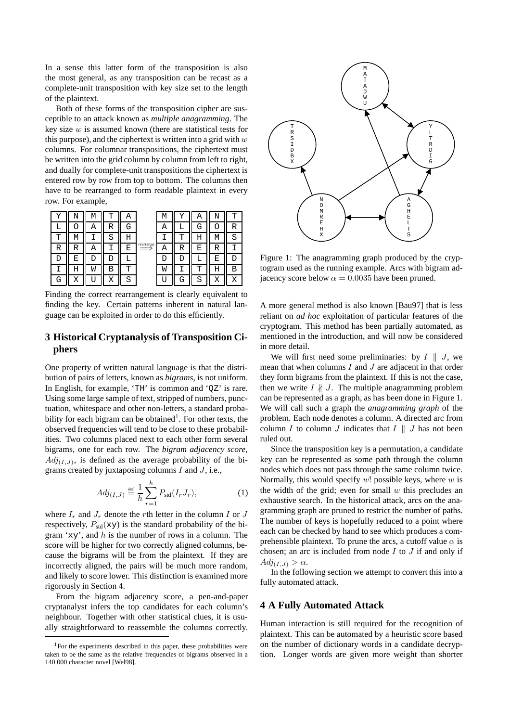In a sense this latter form of the transposition is also the most general, as any transposition can be recast as a complete-unit transposition with key size set to the length of the plaintext.

Both of these forms of the transposition cipher are susceptible to an attack known as *multiple anagramming*. The key size  $w$  is assumed known (there are statistical tests for this purpose), and the ciphertext is written into a grid with  $w$ columns. For columnar transpositions, the ciphertext must be written into the grid column by column from left to right, and dually for complete-unit transpositions the ciphertext is entered row by row from top to bottom. The columns then have to be rearranged to form readable plaintext in every row. For example,



Finding the correct rearrangement is clearly equivalent to finding the key. Certain patterns inherent in natural language can be exploited in order to do this efficiently.

## **3 Historical Cryptanalysis of Transposition Ciphers**

One property of written natural language is that the distribution of pairs of letters, known as *bigrams*, is not uniform. In English, for example, 'TH' is common and 'QZ' is rare. Using some large sample of text, stripped of numbers, punctuation, whitespace and other non-letters, a standard probability for each bigram can be obtained<sup>1</sup>. For other texts, the observed frequencies will tend to be close to these probabilities. Two columns placed next to each other form several bigrams, one for each row. The *bigram adjacency score*,  $Adj_{(I,J)}$ , is defined as the average probability of the bigrams created by juxtaposing columns  $I$  and  $J$ , i.e.,

$$
Adj_{(I,J)} \stackrel{\text{def}}{=} \frac{1}{h} \sum_{r=1}^{h} P_{\text{std}}(I_r J_r), \tag{1}
$$

where  $I_r$  and  $J_r$  denote the rth letter in the column I or J respectively,  $P_{std}(xy)$  is the standard probability of the bigram 'xy', and  $h$  is the number of rows in a column. The score will be higher for two correctly aligned columns, because the bigrams will be from the plaintext. If they are incorrectly aligned, the pairs will be much more random, and likely to score lower. This distinction is examined more rigorously in Section 4.

From the bigram adjacency score, a pen-and-paper cryptanalyst infers the top candidates for each column's neighbour. Together with other statistical clues, it is usually straightforward to reassemble the columns correctly.



Figure 1: The anagramming graph produced by the cryptogram used as the running example. Arcs with bigram adjacency score below  $\alpha = 0.0035$  have been pruned.

A more general method is also known [Bau97] that is less reliant on *ad hoc* exploitation of particular features of the cryptogram. This method has been partially automated, as mentioned in the introduction, and will now be considered in more detail.

We will first need some preliminaries: by  $I \parallel J$ , we mean that when columns  $I$  and  $J$  are adjacent in that order they form bigrams from the plaintext. If this is not the case, then we write  $I \nparallel J$ . The multiple anagramming problem can be represented as a graph, as has been done in Figure 1. We will call such a graph the *anagramming graph* of the problem. Each node denotes a column. A directed arc from column I to column J indicates that  $I \parallel J$  has not been ruled out.

Since the transposition key is a permutation, a candidate key can be represented as some path through the column nodes which does not pass through the same column twice. Normally, this would specify  $w!$  possible keys, where  $w$  is the width of the grid; even for small  $w$  this precludes an exhaustive search. In the historical attack, arcs on the anagramming graph are pruned to restrict the number of paths. The number of keys is hopefully reduced to a point where each can be checked by hand to see which produces a comprehensible plaintext. To prune the arcs, a cutoff value  $\alpha$  is chosen; an arc is included from node  $I$  to  $J$  if and only if  $Adj_{(I,J)} > \alpha$ .

In the following section we attempt to convert this into a fully automated attack.

## **4 A Fully Automated Attack**

Human interaction is still required for the recognition of plaintext. This can be automated by a heuristic score based on the number of dictionary words in a candidate decryption. Longer words are given more weight than shorter

<sup>&</sup>lt;sup>1</sup>For the experiments described in this paper, these probabilities were taken to be the same as the relative frequencies of bigrams observed in a 140 000 character novel [Wel98].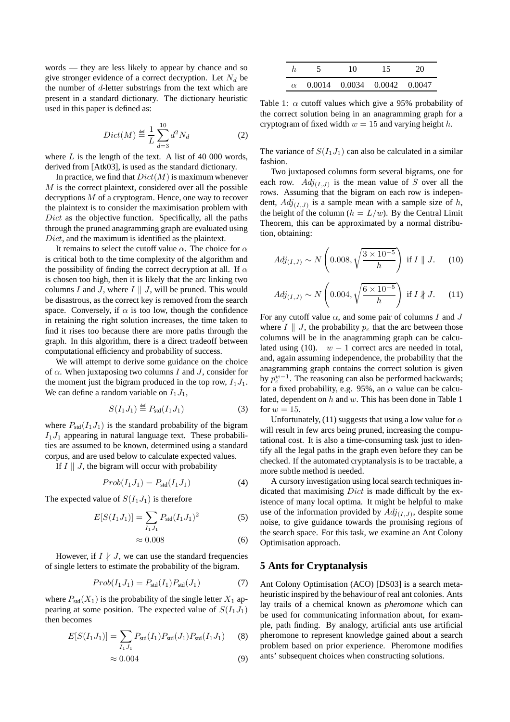words — they are less likely to appear by chance and so give stronger evidence of a correct decryption. Let  $N_d$  be the number of d-letter substrings from the text which are present in a standard dictionary. The dictionary heuristic used in this paper is defined as:

$$
Dict(M) \stackrel{\text{def}}{=} \frac{1}{L} \sum_{d=3}^{10} d^2 N_d \tag{2}
$$

where  $L$  is the length of the text. A list of 40 000 words, derived from [Atk03], is used as the standard dictionary.

In practice, we find that  $Dict(M)$  is maximum whenever M is the correct plaintext, considered over all the possible decryptions M of a cryptogram. Hence, one way to recover the plaintext is to consider the maximisation problem with Dict as the objective function. Specifically, all the paths through the pruned anagramming graph are evaluated using Dict, and the maximum is identified as the plaintext.

It remains to select the cutoff value  $\alpha$ . The choice for  $\alpha$ is critical both to the time complexity of the algorithm and the possibility of finding the correct decryption at all. If  $\alpha$ is chosen too high, then it is likely that the arc linking two columns I and J, where  $I \parallel J$ , will be pruned. This would be disastrous, as the correct key is removed from the search space. Conversely, if  $\alpha$  is too low, though the confidence in retaining the right solution increases, the time taken to find it rises too because there are more paths through the graph. In this algorithm, there is a direct tradeoff between computational efficiency and probability of success.

We will attempt to derive some guidance on the choice of  $\alpha$ . When juxtaposing two columns I and J, consider for the moment just the bigram produced in the top row,  $I_1J_1$ . We can define a random variable on  $I_1J_1$ ,

$$
S(I_1 J_1) \stackrel{\text{def}}{=} P_{\text{std}}(I_1 J_1) \tag{3}
$$

where  $P_{std}(I_1J_1)$  is the standard probability of the bigram  $I_1J_1$  appearing in natural language text. These probabilities are assumed to be known, determined using a standard corpus, and are used below to calculate expected values.

If  $I \parallel J$ , the bigram will occur with probability

$$
Prob(I_1 J_1) = P_{std}(I_1 J_1)
$$
 (4)

The expected value of  $S(I_1J_1)$  is therefore

$$
E[S(I_1 J_1)] = \sum_{I_1 J_1} P_{\text{std}} (I_1 J_1)^2 \tag{5}
$$

$$
\approx 0.008\tag{6}
$$

However, if  $I \nparallel J$ , we can use the standard frequencies of single letters to estimate the probability of the bigram.

$$
Prob(I_1 J_1) = P_{std}(I_1) P_{std}(J_1)
$$
 (7)

where  $P_{std}(X_1)$  is the probability of the single letter  $X_1$  appearing at some position. The expected value of  $S(I_1J_1)$ then becomes

$$
E[S(I_1 J_1)] = \sum_{I_1 J_1} P_{\text{std}}(I_1) P_{\text{std}}(J_1) P_{\text{std}}(I_1 J_1) \tag{8}
$$

$$
\approx 0.004\tag{9}
$$

|  | 10 | 15                                   | 20 |
|--|----|--------------------------------------|----|
|  |    | $\alpha$ 0.0014 0.0034 0.0042 0.0047 |    |

Table 1:  $\alpha$  cutoff values which give a 95% probability of the correct solution being in an anagramming graph for a cryptogram of fixed width  $w = 15$  and varying height h.

The variance of  $S(I_1J_1)$  can also be calculated in a similar fashion.

Two juxtaposed columns form several bigrams, one for each row.  $Adj_{(I,J)}$  is the mean value of S over all the rows. Assuming that the bigram on each row is independent,  $Adj_{(I,J)}$  is a sample mean with a sample size of h, the height of the column ( $h = L/w$ ). By the Central Limit Theorem, this can be approximated by a normal distribution, obtaining:

$$
Adj_{(I,J)} \sim N\left(0.008, \sqrt{\frac{3 \times 10^{-5}}{h}}\right) \text{ if } I \parallel J. \quad (10)
$$

$$
Adj_{(I,J)} \sim N\left(0.004, \sqrt{\frac{6 \times 10^{-5}}{h}}\right) \text{ if } I \nparallel J.
$$
 (11)

For any cutoff value  $\alpha$ , and some pair of columns I and J where  $I \parallel J$ , the probability  $p_c$  that the arc between those columns will be in the anagramming graph can be calculated using (10).  $w - 1$  correct arcs are needed in total, and, again assuming independence, the probability that the anagramming graph contains the correct solution is given by  $p_c^{w-1}$ . The reasoning can also be performed backwards; for a fixed probability, e.g. 95%, an  $\alpha$  value can be calculated, dependent on  $h$  and  $w$ . This has been done in Table 1 for  $w = 15$ .

Unfortunately, (11) suggests that using a low value for  $\alpha$ will result in few arcs being pruned, increasing the computational cost. It is also a time-consuming task just to identify all the legal paths in the graph even before they can be checked. If the automated cryptanalysis is to be tractable, a more subtle method is needed.

A cursory investigation using local search techniques indicated that maximising  $Dict$  is made difficult by the existence of many local optima. It might be helpful to make use of the information provided by  $Adj_{(I,J)}$ , despite some noise, to give guidance towards the promising regions of the search space. For this task, we examine an Ant Colony Optimisation approach.

#### **5 Ants for Cryptanalysis**

Ant Colony Optimisation (ACO) [DS03] is a search metaheuristic inspired by the behaviour of real ant colonies. Ants lay trails of a chemical known as *pheromone* which can be used for communicating information about, for example, path finding. By analogy, artificial ants use artificial pheromone to represent knowledge gained about a search problem based on prior experience. Pheromone modifies ants' subsequent choices when constructing solutions.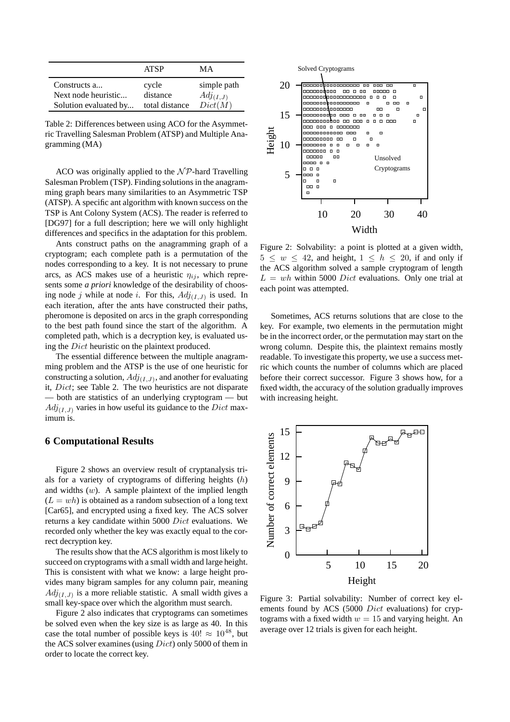|                                     | <b>ATSP</b>       | MА                           |
|-------------------------------------|-------------------|------------------------------|
| Constructs a<br>Next node heuristic | cycle<br>distance | simple path<br>$Adj_{(I,J)}$ |
| Solution evaluated by               | total distance    | Dict(M)                      |

Table 2: Differences between using ACO for the Asymmetric Travelling Salesman Problem (ATSP) and Multiple Anagramming (MA)

ACO was originally applied to the  $N \mathcal{P}$ -hard Travelling Salesman Problem (TSP). Finding solutions in the anagramming graph bears many similarities to an Asymmetric TSP (ATSP). A specific ant algorithm with known success on the TSP is Ant Colony System (ACS). The reader is referred to [DG97] for a full description; here we will only highlight differences and specifics in the adaptation for this problem.

Ants construct paths on the anagramming graph of a cryptogram; each complete path is a permutation of the nodes corresponding to a key. It is not necessary to prune arcs, as ACS makes use of a heuristic  $\eta_{ij}$ , which represents some *a priori* knowledge of the desirability of choosing node j while at node i. For this,  $Adj_{(I,J)}$  is used. In each iteration, after the ants have constructed their paths, pheromone is deposited on arcs in the graph corresponding to the best path found since the start of the algorithm. A completed path, which is a decryption key, is evaluated using the Dict heuristic on the plaintext produced.

The essential difference between the multiple anagramming problem and the ATSP is the use of one heuristic for constructing a solution,  $Adj_{(I,J)}$ , and another for evaluating it, Dict; see Table 2. The two heuristics are not disparate — both are statistics of an underlying cryptogram — but  $Adj_{(I,J)}$  varies in how useful its guidance to the Dict maximum is.

#### **6 Computational Results**

Figure 2 shows an overview result of cryptanalysis trials for a variety of cryptograms of differing heights  $(h)$ and widths  $(w)$ . A sample plaintext of the implied length  $(L = wh)$  is obtained as a random subsection of a long text [Car65], and encrypted using a fixed key. The ACS solver returns a key candidate within 5000 Dict evaluations. We recorded only whether the key was exactly equal to the correct decryption key.

The results show that the ACS algorithm is most likely to succeed on cryptograms with a small width and large height. This is consistent with what we know: a large height provides many bigram samples for any column pair, meaning  $Adj_{(I,J)}$  is a more reliable statistic. A small width gives a small key-space over which the algorithm must search.

Figure 2 also indicates that cryptograms can sometimes be solved even when the key size is as large as 40. In this case the total number of possible keys is  $40! \approx 10^{48}$ , but the ACS solver examines (using Dict) only 5000 of them in order to locate the correct key.



Figure 2: Solvability: a point is plotted at a given width,  $5 \leq w \leq 42$ , and height,  $1 \leq h \leq 20$ , if and only if the ACS algorithm solved a sample cryptogram of length  $L = wh$  within 5000 *Dict* evaluations. Only one trial at each point was attempted.

Sometimes, ACS returns solutions that are close to the key. For example, two elements in the permutation might be in the incorrect order, or the permutation may start on the wrong column. Despite this, the plaintext remains mostly readable. To investigate this property, we use a success metric which counts the number of columns which are placed before their correct successor. Figure 3 shows how, for a fixed width, the accuracy of the solution gradually improves with increasing height.



Figure 3: Partial solvability: Number of correct key elements found by ACS (5000 Dict evaluations) for cryptograms with a fixed width  $w = 15$  and varying height. An average over 12 trials is given for each height.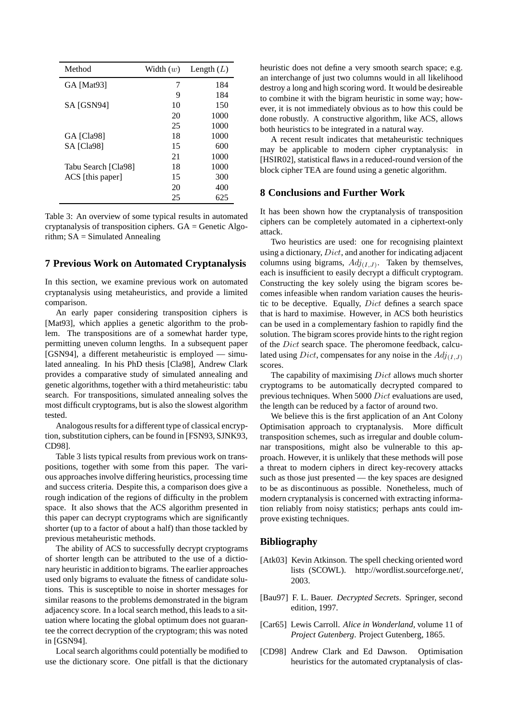| Method              | Width $(w)$ | Length $(L)$ |
|---------------------|-------------|--------------|
| GA [Mat93]          | 7           | 184          |
|                     | 9           | 184          |
| SA [GSN94]          | 10          | 150          |
|                     | 20          | 1000         |
|                     | 25          | 1000         |
| GA [Cla98]          | 18          | 1000         |
| SA [Cla98]          | 15          | 600          |
|                     | 21          | 1000         |
| Tabu Search [Cla98] | 18          | 1000         |
| ACS [this paper]    | 15          | 300          |
|                     | 20          | 400          |
|                     | 25          | 625          |

Table 3: An overview of some typical results in automated cryptanalysis of transposition ciphers.  $GA = Genetic Algo$ rithm;  $SA = Simulated$  Annealing

#### **7 Previous Work on Automated Cryptanalysis**

In this section, we examine previous work on automated cryptanalysis using metaheuristics, and provide a limited comparison.

An early paper considering transposition ciphers is [Mat93], which applies a genetic algorithm to the problem. The transpositions are of a somewhat harder type, permitting uneven column lengths. In a subsequent paper [GSN94], a different metaheuristic is employed — simulated annealing. In his PhD thesis [Cla98], Andrew Clark provides a comparative study of simulated annealing and genetic algorithms, together with a third metaheuristic: tabu search. For transpositions, simulated annealing solves the most difficult cryptograms, but is also the slowest algorithm tested.

Analogous results for a different type of classical encryption, substitution ciphers, can be found in [FSN93, SJNK93, CD98].

Table 3 lists typical results from previous work on transpositions, together with some from this paper. The various approaches involve differing heuristics, processing time and success criteria. Despite this, a comparison does give a rough indication of the regions of difficulty in the problem space. It also shows that the ACS algorithm presented in this paper can decrypt cryptograms which are significantly shorter (up to a factor of about a half) than those tackled by previous metaheuristic methods.

The ability of ACS to successfully decrypt cryptograms of shorter length can be attributed to the use of a dictionary heuristic in addition to bigrams. The earlier approaches used only bigrams to evaluate the fitness of candidate solutions. This is susceptible to noise in shorter messages for similar reasons to the problems demonstrated in the bigram adjacency score. In a local search method, this leads to a situation where locating the global optimum does not guarantee the correct decryption of the cryptogram; this was noted in [GSN94].

Local search algorithms could potentially be modified to use the dictionary score. One pitfall is that the dictionary

heuristic does not define a very smooth search space; e.g. an interchange of just two columns would in all likelihood destroy a long and high scoring word. It would be desireable to combine it with the bigram heuristic in some way; however, it is not immediately obvious as to how this could be done robustly. A constructive algorithm, like ACS, allows both heuristics to be integrated in a natural way.

A recent result indicates that metaheuristic techniques may be applicable to modern cipher cryptanalysis: in [HSIR02], statistical flaws in a reduced-round version of the block cipher TEA are found using a genetic algorithm.

### **8 Conclusions and Further Work**

It has been shown how the cryptanalysis of transposition ciphers can be completely automated in a ciphertext-only attack.

Two heuristics are used: one for recognising plaintext using a dictionary,  $Dict$ , and another for indicating adjacent columns using bigrams,  $Adj_{(I,J)}$ . Taken by themselves, each is insufficient to easily decrypt a difficult cryptogram. Constructing the key solely using the bigram scores becomes infeasible when random variation causes the heuristic to be deceptive. Equally, Dict defines a search space that is hard to maximise. However, in ACS both heuristics can be used in a complementary fashion to rapidly find the solution. The bigram scores provide hints to the right region of the Dict search space. The pheromone feedback, calculated using *Dict*, compensates for any noise in the  $Adj(I,J)$ scores.

The capability of maximising Dict allows much shorter cryptograms to be automatically decrypted compared to previous techniques. When 5000 Dict evaluations are used, the length can be reduced by a factor of around two.

We believe this is the first application of an Ant Colony Optimisation approach to cryptanalysis. More difficult transposition schemes, such as irregular and double columnar transpositions, might also be vulnerable to this approach. However, it is unlikely that these methods will pose a threat to modern ciphers in direct key-recovery attacks such as those just presented — the key spaces are designed to be as discontinuous as possible. Nonetheless, much of modern cryptanalysis is concerned with extracting information reliably from noisy statistics; perhaps ants could improve existing techniques.

#### **Bibliography**

- [Atk03] Kevin Atkinson. The spell checking oriented word lists (SCOWL). http://wordlist.sourceforge.net/, 2003.
- [Bau97] F. L. Bauer. *Decrypted Secrets*. Springer, second edition, 1997.
- [Car65] Lewis Carroll. *Alice in Wonderland*, volume 11 of *Project Gutenberg*. Project Gutenberg, 1865.
- [CD98] Andrew Clark and Ed Dawson. Optimisation heuristics for the automated cryptanalysis of clas-